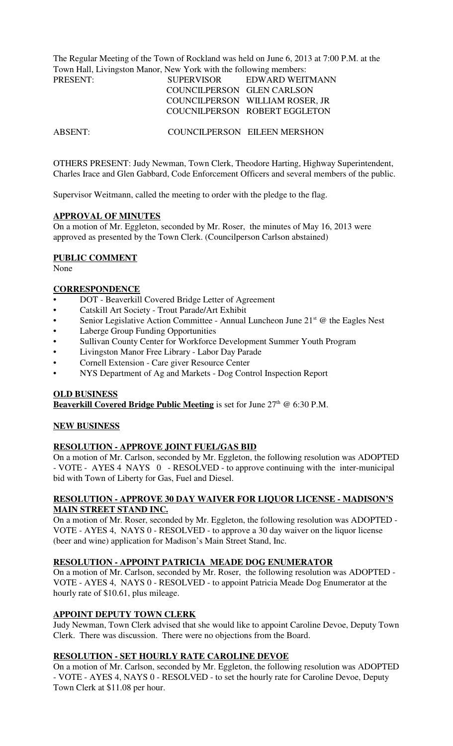The Regular Meeting of the Town of Rockland was held on June 6, 2013 at 7:00 P.M. at the Town Hall, Livingston Manor, New York with the following members:

| <b>SUPERVISOR</b> | EDWARD WEITMANN                 |
|-------------------|---------------------------------|
|                   |                                 |
|                   | COUNCILPERSON WILLIAM ROSER, JR |
|                   | COUCNILPERSON ROBERT EGGLETON   |
|                   | COUNCILPERSON GLEN CARLSON      |

ABSENT: COUNCILPERSON EILEEN MERSHON

OTHERS PRESENT: Judy Newman, Town Clerk, Theodore Harting, Highway Superintendent, Charles Irace and Glen Gabbard, Code Enforcement Officers and several members of the public.

Supervisor Weitmann, called the meeting to order with the pledge to the flag.

### **APPROVAL OF MINUTES**

On a motion of Mr. Eggleton, seconded by Mr. Roser, the minutes of May 16, 2013 were approved as presented by the Town Clerk. (Councilperson Carlson abstained)

### **PUBLIC COMMENT**

None

### **CORRESPONDENCE**

- DOT Beaverkill Covered Bridge Letter of Agreement
- Catskill Art Society Trout Parade/Art Exhibit
- Senior Legislative Action Committee Annual Luncheon June  $21<sup>st</sup>$  @ the Eagles Nest
- Laberge Group Funding Opportunities
- Sullivan County Center for Workforce Development Summer Youth Program
- Livingston Manor Free Library Labor Day Parade
- Cornell Extension Care giver Resource Center
- NYS Department of Ag and Markets Dog Control Inspection Report

#### **OLD BUSINESS**

**Beaverkill Covered Bridge Public Meeting** is set for June 27<sup>th</sup> @ 6:30 P.M.

## **NEW BUSINESS**

## **RESOLUTION - APPROVE JOINT FUEL/GAS BID**

On a motion of Mr. Carlson, seconded by Mr. Eggleton, the following resolution was ADOPTED - VOTE - AYES 4 NAYS 0 - RESOLVED - to approve continuing with the inter-municipal bid with Town of Liberty for Gas, Fuel and Diesel.

### **RESOLUTION - APPROVE 30 DAY WAIVER FOR LIQUOR LICENSE - MADISON'S MAIN STREET STAND INC.**

On a motion of Mr. Roser, seconded by Mr. Eggleton, the following resolution was ADOPTED - VOTE - AYES 4, NAYS 0 - RESOLVED - to approve a 30 day waiver on the liquor license (beer and wine) application for Madison's Main Street Stand, Inc.

## **RESOLUTION - APPOINT PATRICIA MEADE DOG ENUMERATOR**

On a motion of Mr. Carlson, seconded by Mr. Roser, the following resolution was ADOPTED - VOTE - AYES 4, NAYS 0 - RESOLVED - to appoint Patricia Meade Dog Enumerator at the hourly rate of \$10.61, plus mileage.

## **APPOINT DEPUTY TOWN CLERK**

Judy Newman, Town Clerk advised that she would like to appoint Caroline Devoe, Deputy Town Clerk. There was discussion. There were no objections from the Board.

## **RESOLUTION - SET HOURLY RATE CAROLINE DEVOE**

On a motion of Mr. Carlson, seconded by Mr. Eggleton, the following resolution was ADOPTED - VOTE - AYES 4, NAYS 0 - RESOLVED - to set the hourly rate for Caroline Devoe, Deputy Town Clerk at \$11.08 per hour.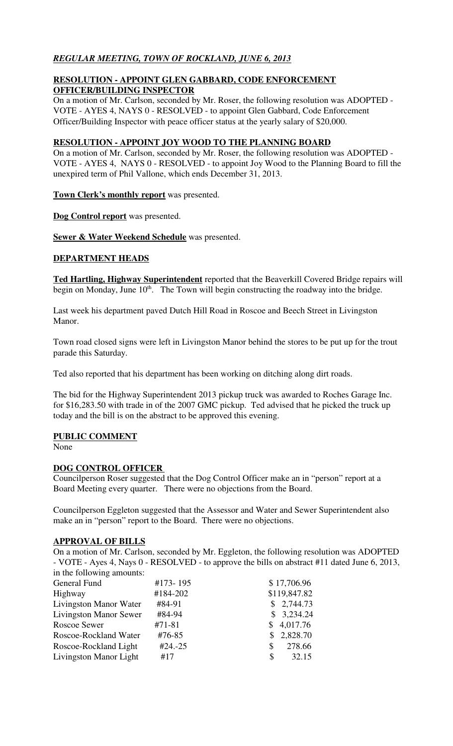# *REGULAR MEETING, TOWN OF ROCKLAND, JUNE 6, 2013*

## **RESOLUTION - APPOINT GLEN GABBARD, CODE ENFORCEMENT OFFICER/BUILDING INSPECTOR**

On a motion of Mr. Carlson, seconded by Mr. Roser, the following resolution was ADOPTED - VOTE - AYES 4, NAYS 0 - RESOLVED - to appoint Glen Gabbard, Code Enforcement Officer/Building Inspector with peace officer status at the yearly salary of \$20,000.

# **RESOLUTION - APPOINT JOY WOOD TO THE PLANNING BOARD**

On a motion of Mr. Carlson, seconded by Mr. Roser, the following resolution was ADOPTED - VOTE - AYES 4, NAYS 0 - RESOLVED - to appoint Joy Wood to the Planning Board to fill the unexpired term of Phil Vallone, which ends December 31, 2013.

**Town Clerk's monthly report** was presented.

**Dog Control report** was presented.

**Sewer & Water Weekend Schedule** was presented.

## **DEPARTMENT HEADS**

**Ted Hartling, Highway Superintendent** reported that the Beaverkill Covered Bridge repairs will begin on Monday, June 10<sup>th</sup>. The Town will begin constructing the roadway into the bridge.

Last week his department paved Dutch Hill Road in Roscoe and Beech Street in Livingston Manor.

Town road closed signs were left in Livingston Manor behind the stores to be put up for the trout parade this Saturday.

Ted also reported that his department has been working on ditching along dirt roads.

The bid for the Highway Superintendent 2013 pickup truck was awarded to Roches Garage Inc. for \$16,283.50 with trade in of the 2007 GMC pickup. Ted advised that he picked the truck up today and the bill is on the abstract to be approved this evening.

## **PUBLIC COMMENT**

None

## **DOG CONTROL OFFICER**

Councilperson Roser suggested that the Dog Control Officer make an in "person" report at a Board Meeting every quarter. There were no objections from the Board.

Councilperson Eggleton suggested that the Assessor and Water and Sewer Superintendent also make an in "person" report to the Board. There were no objections.

## **APPROVAL OF BILLS**

On a motion of Mr. Carlson, seconded by Mr. Eggleton, the following resolution was ADOPTED - VOTE - Ayes 4, Nays 0 - RESOLVED - to approve the bills on abstract #11 dated June 6, 2013, in the following amounts:

| $\frac{1}{2}$ and $\frac{1}{2}$ and $\frac{1}{2}$ and $\frac{1}{2}$ and $\frac{1}{2}$ and $\frac{1}{2}$ |            |               |
|---------------------------------------------------------------------------------------------------------|------------|---------------|
| General Fund                                                                                            | #173-195   | \$17,706.96   |
| Highway                                                                                                 | #184-202   | \$119,847.82  |
| Livingston Manor Water                                                                                  | #84-91     | \$2,744.73    |
| <b>Livingston Manor Sewer</b>                                                                           | #84-94     | \$3,234.24    |
| Roscoe Sewer                                                                                            | $#71 - 81$ | \$4,017.76    |
| Roscoe-Rockland Water                                                                                   | #76-85     | \$2,828.70    |
| Roscoe-Rockland Light                                                                                   | $#24.-25$  | 278.66<br>\$. |
| Livingston Manor Light                                                                                  | #17        | 32.15<br>S    |
|                                                                                                         |            |               |